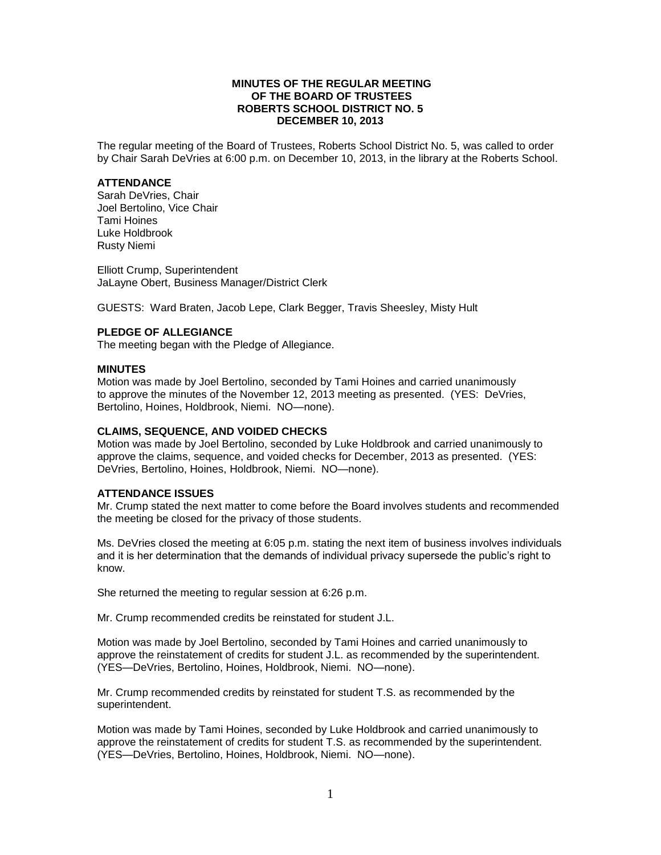## **MINUTES OF THE REGULAR MEETING OF THE BOARD OF TRUSTEES ROBERTS SCHOOL DISTRICT NO. 5 DECEMBER 10, 2013**

The regular meeting of the Board of Trustees, Roberts School District No. 5, was called to order by Chair Sarah DeVries at 6:00 p.m. on December 10, 2013, in the library at the Roberts School.

### **ATTENDANCE**

Sarah DeVries, Chair Joel Bertolino, Vice Chair Tami Hoines Luke Holdbrook Rusty Niemi

Elliott Crump, Superintendent JaLayne Obert, Business Manager/District Clerk

GUESTS: Ward Braten, Jacob Lepe, Clark Begger, Travis Sheesley, Misty Hult

# **PLEDGE OF ALLEGIANCE**

The meeting began with the Pledge of Allegiance.

### **MINUTES**

Motion was made by Joel Bertolino, seconded by Tami Hoines and carried unanimously to approve the minutes of the November 12, 2013 meeting as presented. (YES: DeVries, Bertolino, Hoines, Holdbrook, Niemi. NO—none).

## **CLAIMS, SEQUENCE, AND VOIDED CHECKS**

Motion was made by Joel Bertolino, seconded by Luke Holdbrook and carried unanimously to approve the claims, sequence, and voided checks for December, 2013 as presented. (YES: DeVries, Bertolino, Hoines, Holdbrook, Niemi. NO—none).

## **ATTENDANCE ISSUES**

Mr. Crump stated the next matter to come before the Board involves students and recommended the meeting be closed for the privacy of those students.

Ms. DeVries closed the meeting at 6:05 p.m. stating the next item of business involves individuals and it is her determination that the demands of individual privacy supersede the public's right to know.

She returned the meeting to regular session at 6:26 p.m.

Mr. Crump recommended credits be reinstated for student J.L.

Motion was made by Joel Bertolino, seconded by Tami Hoines and carried unanimously to approve the reinstatement of credits for student J.L. as recommended by the superintendent. (YES—DeVries, Bertolino, Hoines, Holdbrook, Niemi. NO—none).

Mr. Crump recommended credits by reinstated for student T.S. as recommended by the superintendent.

Motion was made by Tami Hoines, seconded by Luke Holdbrook and carried unanimously to approve the reinstatement of credits for student T.S. as recommended by the superintendent. (YES—DeVries, Bertolino, Hoines, Holdbrook, Niemi. NO—none).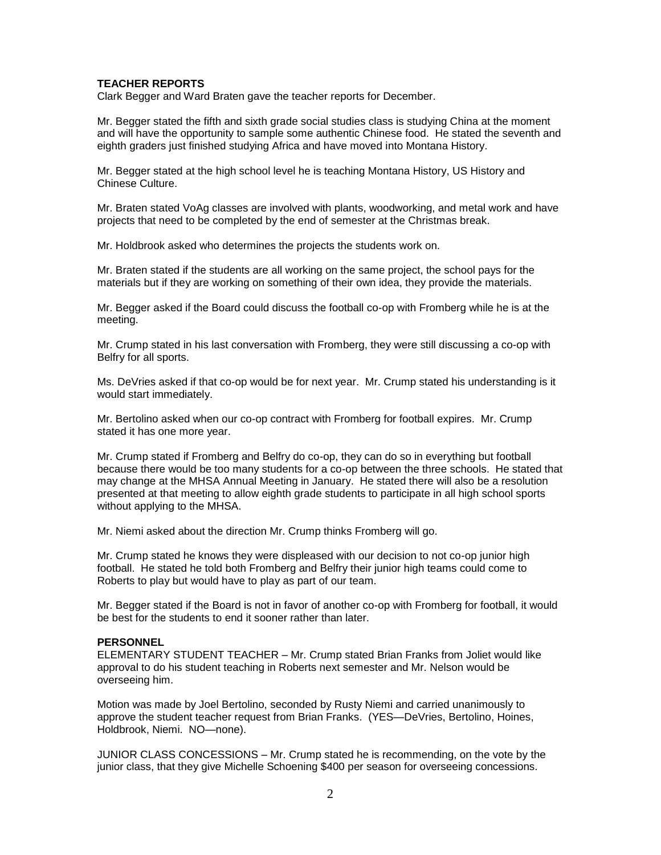## **TEACHER REPORTS**

Clark Begger and Ward Braten gave the teacher reports for December.

Mr. Begger stated the fifth and sixth grade social studies class is studying China at the moment and will have the opportunity to sample some authentic Chinese food. He stated the seventh and eighth graders just finished studying Africa and have moved into Montana History.

Mr. Begger stated at the high school level he is teaching Montana History, US History and Chinese Culture.

Mr. Braten stated VoAg classes are involved with plants, woodworking, and metal work and have projects that need to be completed by the end of semester at the Christmas break.

Mr. Holdbrook asked who determines the projects the students work on.

Mr. Braten stated if the students are all working on the same project, the school pays for the materials but if they are working on something of their own idea, they provide the materials.

Mr. Begger asked if the Board could discuss the football co-op with Fromberg while he is at the meeting.

Mr. Crump stated in his last conversation with Fromberg, they were still discussing a co-op with Belfry for all sports.

Ms. DeVries asked if that co-op would be for next year. Mr. Crump stated his understanding is it would start immediately.

Mr. Bertolino asked when our co-op contract with Fromberg for football expires. Mr. Crump stated it has one more year.

Mr. Crump stated if Fromberg and Belfry do co-op, they can do so in everything but football because there would be too many students for a co-op between the three schools. He stated that may change at the MHSA Annual Meeting in January. He stated there will also be a resolution presented at that meeting to allow eighth grade students to participate in all high school sports without applying to the MHSA.

Mr. Niemi asked about the direction Mr. Crump thinks Fromberg will go.

Mr. Crump stated he knows they were displeased with our decision to not co-op junior high football. He stated he told both Fromberg and Belfry their junior high teams could come to Roberts to play but would have to play as part of our team.

Mr. Begger stated if the Board is not in favor of another co-op with Fromberg for football, it would be best for the students to end it sooner rather than later.

### **PERSONNEL**

ELEMENTARY STUDENT TEACHER – Mr. Crump stated Brian Franks from Joliet would like approval to do his student teaching in Roberts next semester and Mr. Nelson would be overseeing him.

Motion was made by Joel Bertolino, seconded by Rusty Niemi and carried unanimously to approve the student teacher request from Brian Franks. (YES—DeVries, Bertolino, Hoines, Holdbrook, Niemi. NO—none).

JUNIOR CLASS CONCESSIONS – Mr. Crump stated he is recommending, on the vote by the junior class, that they give Michelle Schoening \$400 per season for overseeing concessions.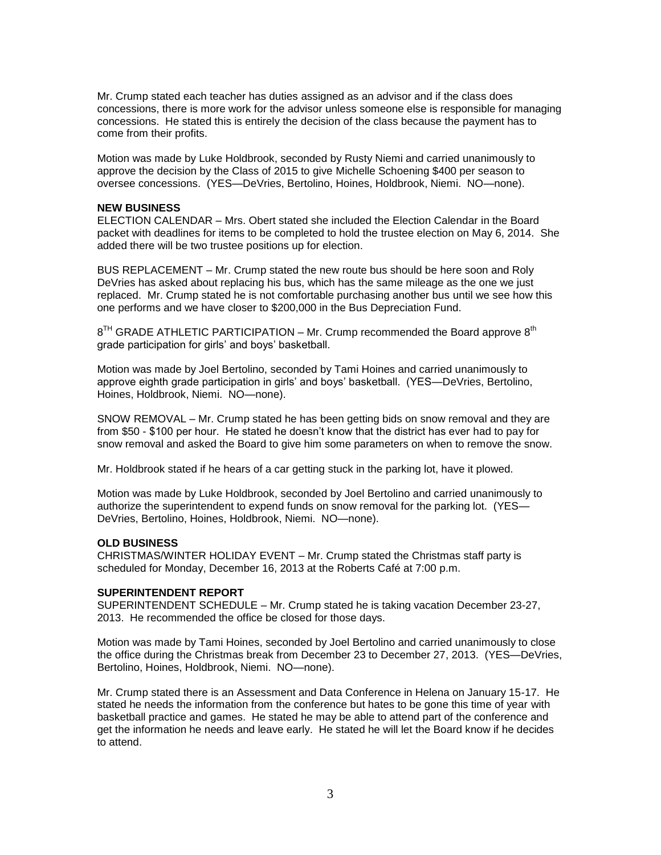Mr. Crump stated each teacher has duties assigned as an advisor and if the class does concessions, there is more work for the advisor unless someone else is responsible for managing concessions. He stated this is entirely the decision of the class because the payment has to come from their profits.

Motion was made by Luke Holdbrook, seconded by Rusty Niemi and carried unanimously to approve the decision by the Class of 2015 to give Michelle Schoening \$400 per season to oversee concessions. (YES—DeVries, Bertolino, Hoines, Holdbrook, Niemi. NO—none).

### **NEW BUSINESS**

ELECTION CALENDAR – Mrs. Obert stated she included the Election Calendar in the Board packet with deadlines for items to be completed to hold the trustee election on May 6, 2014. She added there will be two trustee positions up for election.

BUS REPLACEMENT – Mr. Crump stated the new route bus should be here soon and Roly DeVries has asked about replacing his bus, which has the same mileage as the one we just replaced. Mr. Crump stated he is not comfortable purchasing another bus until we see how this one performs and we have closer to \$200,000 in the Bus Depreciation Fund.

 $8^{TH}$  GRADE ATHLETIC PARTICIPATION – Mr. Crump recommended the Board approve  $8^{th}$ grade participation for girls' and boys' basketball.

Motion was made by Joel Bertolino, seconded by Tami Hoines and carried unanimously to approve eighth grade participation in girls' and boys' basketball. (YES—DeVries, Bertolino, Hoines, Holdbrook, Niemi. NO—none).

SNOW REMOVAL – Mr. Crump stated he has been getting bids on snow removal and they are from \$50 - \$100 per hour. He stated he doesn't know that the district has ever had to pay for snow removal and asked the Board to give him some parameters on when to remove the snow.

Mr. Holdbrook stated if he hears of a car getting stuck in the parking lot, have it plowed.

Motion was made by Luke Holdbrook, seconded by Joel Bertolino and carried unanimously to authorize the superintendent to expend funds on snow removal for the parking lot. (YES— DeVries, Bertolino, Hoines, Holdbrook, Niemi. NO—none).

#### **OLD BUSINESS**

CHRISTMAS/WINTER HOLIDAY EVENT – Mr. Crump stated the Christmas staff party is scheduled for Monday, December 16, 2013 at the Roberts Café at 7:00 p.m.

#### **SUPERINTENDENT REPORT**

SUPERINTENDENT SCHEDULE – Mr. Crump stated he is taking vacation December 23-27, 2013. He recommended the office be closed for those days.

Motion was made by Tami Hoines, seconded by Joel Bertolino and carried unanimously to close the office during the Christmas break from December 23 to December 27, 2013. (YES—DeVries, Bertolino, Hoines, Holdbrook, Niemi. NO—none).

Mr. Crump stated there is an Assessment and Data Conference in Helena on January 15-17. He stated he needs the information from the conference but hates to be gone this time of year with basketball practice and games. He stated he may be able to attend part of the conference and get the information he needs and leave early. He stated he will let the Board know if he decides to attend.